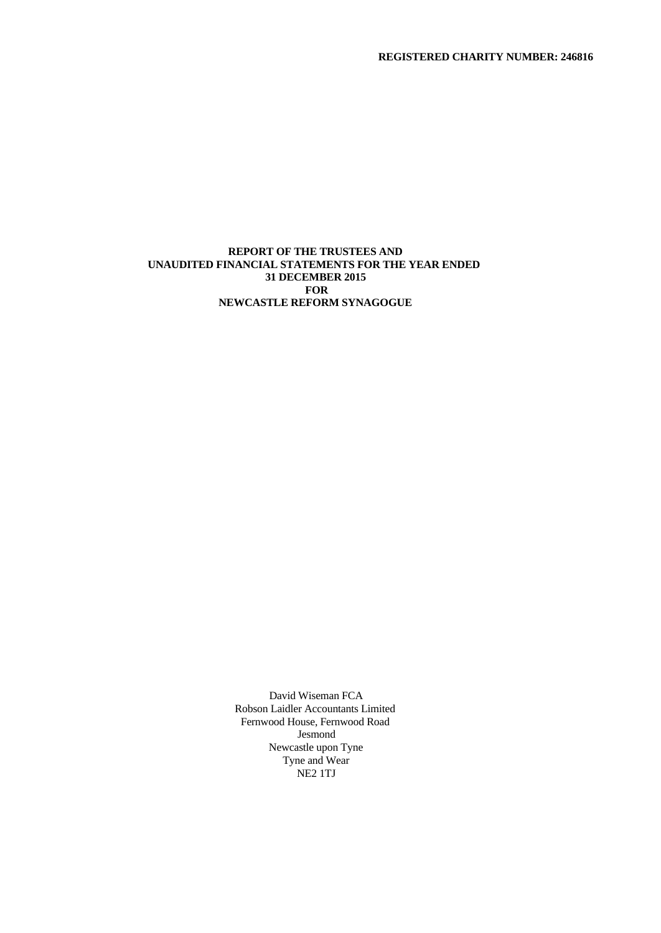**REGISTERED CHARITY NUMBER: 246816**

# **REPORT OF THE TRUSTEES AND UNAUDITED FINANCIAL STATEMENTS FOR THE YEAR ENDED 31 DECEMBER 2015 FOR NEWCASTLE REFORM SYNAGOGUE**

David Wiseman FCA Robson Laidler Accountants Limited Fernwood House, Fernwood Road Jesmond Newcastle upon Tyne Tyne and Wear NE2 1TJ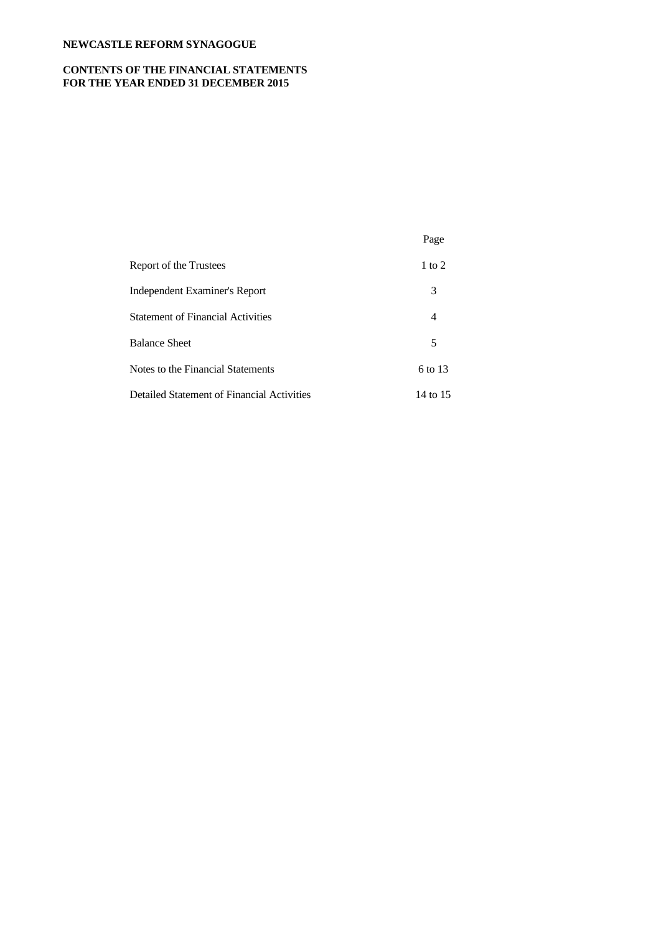# **CONTENTS OF THE FINANCIAL STATEMENTS FOR THE YEAR ENDED 31 DECEMBER 2015**

|                                            | Page       |
|--------------------------------------------|------------|
| Report of the Trustees                     | $1$ to $2$ |
| Independent Examiner's Report              | 3          |
| <b>Statement of Financial Activities</b>   | 4          |
| <b>Balance Sheet</b>                       | 5          |
| Notes to the Financial Statements          | 6 to 13    |
| Detailed Statement of Financial Activities | 14 to 15   |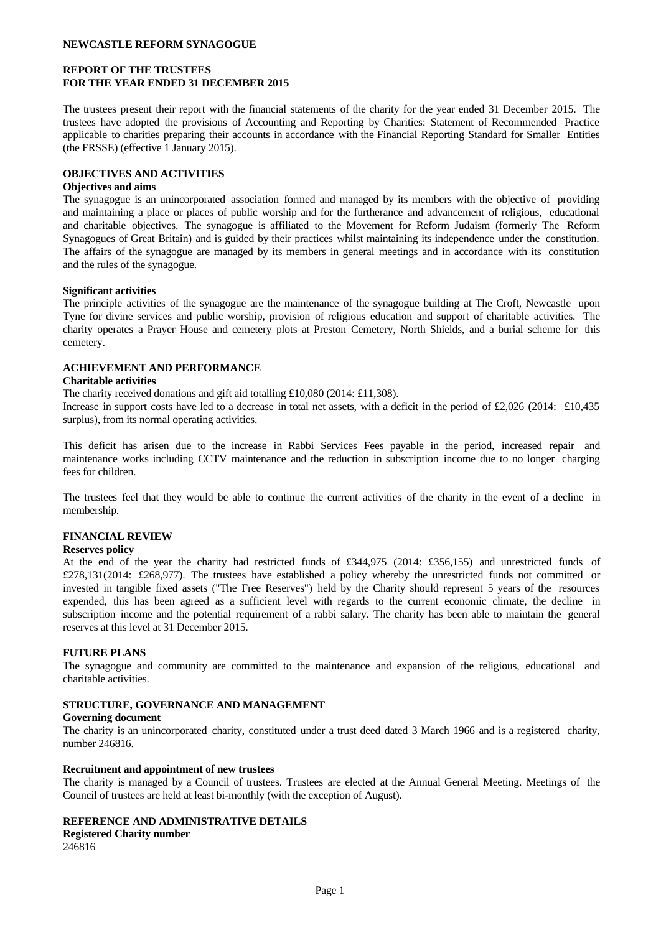## **REPORT OF THE TRUSTEES FOR THE YEAR ENDED 31 DECEMBER 2015**

The trustees present their report with the financial statements of the charity for the year ended 31 December 2015. The trustees have adopted the provisions of Accounting and Reporting by Charities: Statement of Recommended Practice applicable to charities preparing their accounts in accordance with the Financial Reporting Standard for Smaller Entities (the FRSSE) (effective 1 January 2015).

## **OBJECTIVES AND ACTIVITIES**

### **Objectives and aims**

The synagogue is an unincorporated association formed and managed by its members with the objective of providing and maintaining a place or places of public worship and for the furtherance and advancement of religious, educational and charitable objectives. The synagogue is affiliated to the Movement for Reform Judaism (formerly The Reform Synagogues of Great Britain) and is guided by their practices whilst maintaining its independence under the constitution. The affairs of the synagogue are managed by its members in general meetings and in accordance with its constitution and the rules of the synagogue.

### **Significant activities**

The principle activities of the synagogue are the maintenance of the synagogue building at The Croft, Newcastle upon Tyne for divine services and public worship, provision of religious education and support of charitable activities. The charity operates a Prayer House and cemetery plots at Preston Cemetery, North Shields, and a burial scheme for this cemetery.

# **ACHIEVEMENT AND PERFORMANCE**

### **Charitable activities**

The charity received donations and gift aid totalling £10,080 (2014: £11,308).

Increase in support costs have led to a decrease in total net assets, with a deficit in the period of £2,026 (2014: £10,435 surplus), from its normal operating activities.

This deficit has arisen due to the increase in Rabbi Services Fees payable in the period, increased repair and maintenance works including CCTV maintenance and the reduction in subscription income due to no longer charging fees for children.

The trustees feel that they would be able to continue the current activities of the charity in the event of a decline in membership.

# **FINANCIAL REVIEW**

#### **Reserves policy**

At the end of the year the charity had restricted funds of £344,975 (2014: £356,155) and unrestricted funds of £278,131(2014: £268,977). The trustees have established a policy whereby the unrestricted funds not committed or invested in tangible fixed assets ("The Free Reserves") held by the Charity should represent 5 years of the resources expended, this has been agreed as a sufficient level with regards to the current economic climate, the decline in subscription income and the potential requirement of a rabbi salary. The charity has been able to maintain the general reserves at this level at 31 December 2015.

## **FUTURE PLANS**

The synagogue and community are committed to the maintenance and expansion of the religious, educational and charitable activities.

## **STRUCTURE, GOVERNANCE AND MANAGEMENT**

#### **Governing document**

The charity is an unincorporated charity, constituted under a trust deed dated 3 March 1966 and is a registered charity, number 246816.

#### **Recruitment and appointment of new trustees**

The charity is managed by a Council of trustees. Trustees are elected at the Annual General Meeting. Meetings of the Council of trustees are held at least bi-monthly (with the exception of August).

#### **REFERENCE AND ADMINISTRATIVE DETAILS**

**Registered Charity number**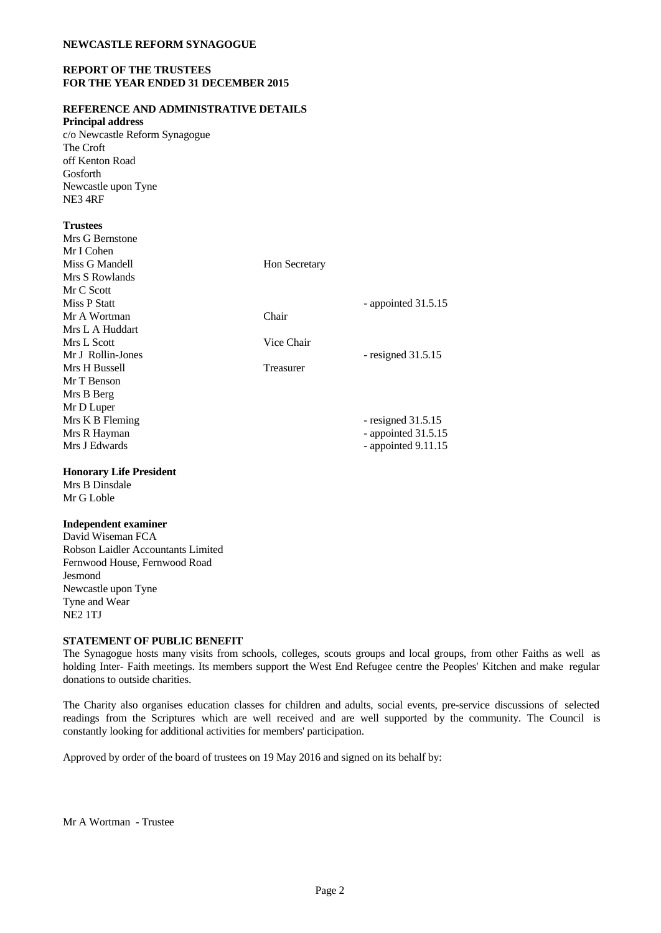## **REPORT OF THE TRUSTEES FOR THE YEAR ENDED 31 DECEMBER 2015**

# **REFERENCE AND ADMINISTRATIVE DETAILS**

**Principal address**

c/o Newcastle Reform Synagogue The Croft off Kenton Road Gosforth Newcastle upon Tyne NE3 4RF

## **Trustees**

| Mrs G Bernstone   |                      |
|-------------------|----------------------|
| Mr I Cohen        |                      |
| Miss G Mandell    | <b>Hon Secretary</b> |
| Mrs S Rowlands    |                      |
| Mr C Scott        |                      |
| Miss P Statt      | - appointed 31.5.15  |
| Mr A Wortman      | Chair                |
| Mrs L A Huddart   |                      |
| Mrs L Scott       | Vice Chair           |
| Mr J Rollin-Jones | - resigned $31.5.15$ |
| Mrs H Bussell     | Treasurer            |
| Mr T Benson       |                      |
| Mrs B Berg        |                      |
| Mr D Luper        |                      |
| Mrs K B Fleming   | - resigned $31.5.15$ |
| Mrs R Hayman      | - appointed 31.5.15  |
| Mrs J Edwards     | - appointed 9.11.15  |
|                   |                      |

# **Honorary Life President**

Mrs B Dinsdale Mr G Loble

# **Independent examiner**

David Wiseman FCA Robson Laidler Accountants Limited Fernwood House, Fernwood Road Jesmond Newcastle upon Tyne Tyne and Wear NE2 1TJ

## **STATEMENT OF PUBLIC BENEFIT**

The Synagogue hosts many visits from schools, colleges, scouts groups and local groups, from other Faiths as well as holding Inter- Faith meetings. Its members support the West End Refugee centre the Peoples' Kitchen and make regular donations to outside charities.

The Charity also organises education classes for children and adults, social events, pre-service discussions of selected readings from the Scriptures which are well received and are well supported by the community. The Council is constantly looking for additional activities for members' participation.

Approved by order of the board of trustees on 19 May 2016 and signed on its behalf by:

Mr A Wortman - Trustee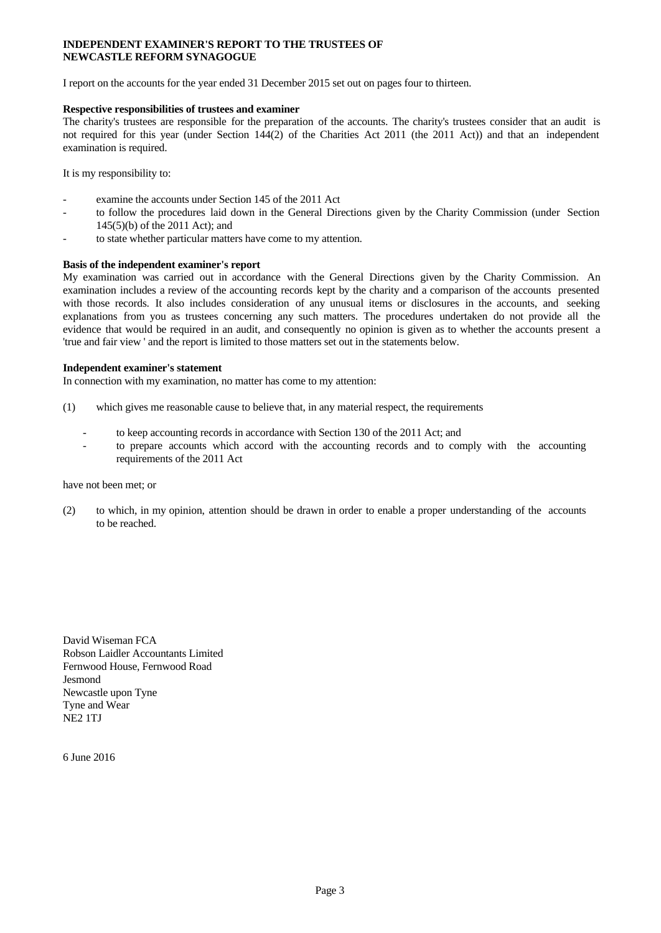## **INDEPENDENT EXAMINER'S REPORT TO THE TRUSTEES OF NEWCASTLE REFORM SYNAGOGUE**

I report on the accounts for the year ended 31 December 2015 set out on pages four to thirteen.

## **Respective responsibilities of trustees and examiner**

The charity's trustees are responsible for the preparation of the accounts. The charity's trustees consider that an audit is not required for this year (under Section 144(2) of the Charities Act 2011 (the 2011 Act)) and that an independent examination is required.

It is my responsibility to:

- examine the accounts under Section 145 of the 2011 Act
- to follow the procedures laid down in the General Directions given by the Charity Commission (under Section 145(5)(b) of the 2011 Act); and
- to state whether particular matters have come to my attention.

### **Basis of the independent examiner's report**

My examination wascarried out in accordance with the General Directions given by the Charity Commission. An examination includes a review of the accounting records kept by the charity and a comparison of the accounts presented with those records. It also includes consideration of any unusual items or disclosures in the accounts, and seeking explanations from you as trustees concerning any such matters. The procedures undertaken do not provide all the evidence that would be required in an audit, and consequently no opinion is given as to whether the accounts present a 'true and fair view ' and the report is limited to those matters set out in the statements below.

### **Independent examiner's statement**

In connection with my examination, no matter has come to my attention:

- (1) which gives me reasonable cause to believe that, in any material respect, the requirements
	- to keep accounting records in accordance with Section 130 of the 2011 Act; and
	- to prepare accounts which accord with the accounting records and to comply with the accounting requirements of the 2011 Act

#### have not been met; or

(2) to which, in my opinion, attention should be drawn in order to enable a proper understanding of the accounts to be reached.

David Wiseman FCA Robson Laidler Accountants Limited Fernwood House, Fernwood Road Jesmond Newcastle upon Tyne Tyne and Wear NE2 1TJ

6 June 2016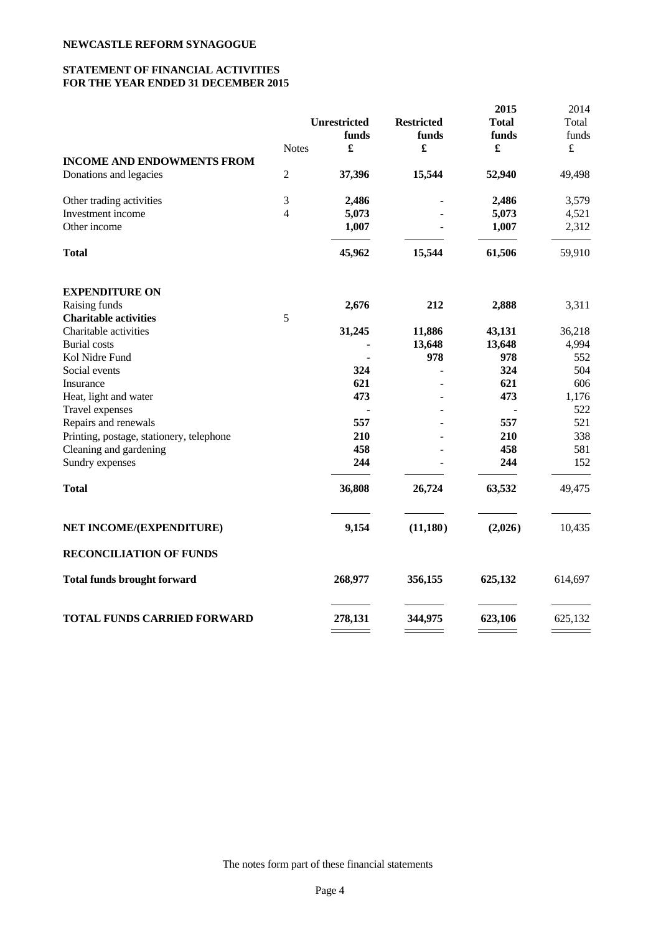# **STATEMENT OF FINANCIAL ACTIVITIES FOR THE YEAR ENDED 31 DECEMBER 2015**

|                |         |                                        | 2015                    | 2014                      |
|----------------|---------|----------------------------------------|-------------------------|---------------------------|
|                |         | <b>Restricted</b>                      | <b>Total</b>            | Total                     |
|                | funds   | funds                                  | funds                   | funds                     |
| <b>Notes</b>   |         | £                                      | £                       | $\pounds$                 |
|                |         |                                        |                         |                           |
| $\overline{2}$ | 37,396  | 15,544                                 | 52,940                  | 49,498                    |
| 3              | 2,486   |                                        | 2,486                   | 3,579                     |
| $\overline{4}$ | 5,073   |                                        | 5,073                   | 4,521                     |
|                | 1,007   |                                        | 1,007                   | 2,312                     |
|                | 45,962  | 15,544                                 | 61,506                  | 59,910                    |
|                |         |                                        |                         |                           |
|                |         |                                        |                         | 3,311                     |
| 5              |         |                                        |                         |                           |
|                |         |                                        |                         | 36,218                    |
|                |         |                                        |                         | 4,994                     |
|                |         | 978                                    | 978                     | 552                       |
|                | 324     |                                        | 324                     | 504                       |
|                | 621     |                                        | 621                     | 606                       |
|                | 473     |                                        | 473                     | 1,176                     |
|                |         |                                        |                         | 522                       |
|                | 557     |                                        | 557                     | 521                       |
|                | 210     |                                        | 210                     | 338                       |
|                | 458     |                                        | 458                     | 581                       |
|                | 244     |                                        | 244                     | 152                       |
|                | 36,808  | 26,724                                 | 63,532                  | 49,475                    |
|                | 9,154   | (11, 180)                              | (2,026)                 | 10,435                    |
|                |         |                                        |                         |                           |
|                | 268,977 | 356,155                                | 625,132                 | 614,697                   |
|                |         |                                        |                         |                           |
|                |         | <b>Unrestricted</b><br>2,676<br>31,245 | 212<br>11,886<br>13,648 | 2,888<br>43,131<br>13,648 |

The notes form part of these financial statements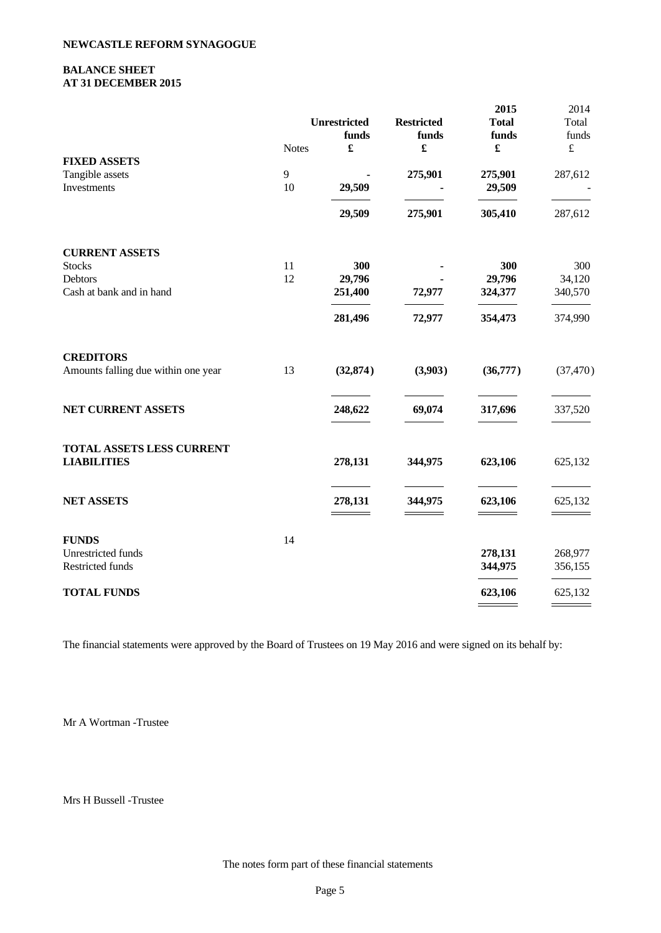## **BALANCE SHEET AT 31 DECEMBER 2015**

|                                     |              |                      |                      | 2015         | 2014               |
|-------------------------------------|--------------|----------------------|----------------------|--------------|--------------------|
|                                     |              | <b>Unrestricted</b>  | <b>Restricted</b>    | <b>Total</b> | Total              |
|                                     |              | funds                | funds                | funds        | funds              |
|                                     | <b>Notes</b> | $\pmb{\mathfrak{L}}$ | $\pmb{\mathfrak{L}}$ |              | $\pounds$          |
| <b>FIXED ASSETS</b>                 |              |                      |                      |              |                    |
| Tangible assets                     | 9            |                      | 275,901              | 275,901      | 287,612            |
| Investments                         | 10           | 29,509               |                      | 29,509       |                    |
|                                     |              | 29,509               | 275,901              | 305,410      | 287,612            |
| <b>CURRENT ASSETS</b>               |              |                      |                      |              |                    |
| <b>Stocks</b>                       | 11           | 300                  |                      | 300          | 300                |
| Debtors                             | 12           | 29,796               |                      | 29,796       | 34,120             |
| Cash at bank and in hand            |              | 251,400              | 72,977               | 324,377      | 340,570            |
|                                     |              | 281,496              | 72,977               | 354,473      | 374,990            |
| <b>CREDITORS</b>                    |              |                      |                      |              |                    |
| Amounts falling due within one year | 13           | (32, 874)            | (3,903)              | (36,777)     | (37, 470)          |
| NET CURRENT ASSETS                  |              | 248,622              | 69,074               | 317,696      | 337,520            |
| TOTAL ASSETS LESS CURRENT           |              |                      |                      |              |                    |
| <b>LIABILITIES</b>                  |              | 278,131              | 344,975              | 623,106      | 625,132            |
| <b>NET ASSETS</b>                   |              | 278,131              | 344,975              | 623,106      | 625,132            |
|                                     |              |                      |                      |              |                    |
| <b>FUNDS</b><br>Unrestricted funds  | 14           |                      |                      | 278,131      |                    |
| Restricted funds                    |              |                      |                      | 344,975      | 268,977<br>356,155 |
|                                     |              |                      |                      |              |                    |
| <b>TOTAL FUNDS</b>                  |              |                      |                      | 623,106      | 625,132            |

The financial statements were approved by the Board of Trustees on 19 May 2016 and were signed on its behalf by:

Mr A Wortman -Trustee

Mrs H Bussell -Trustee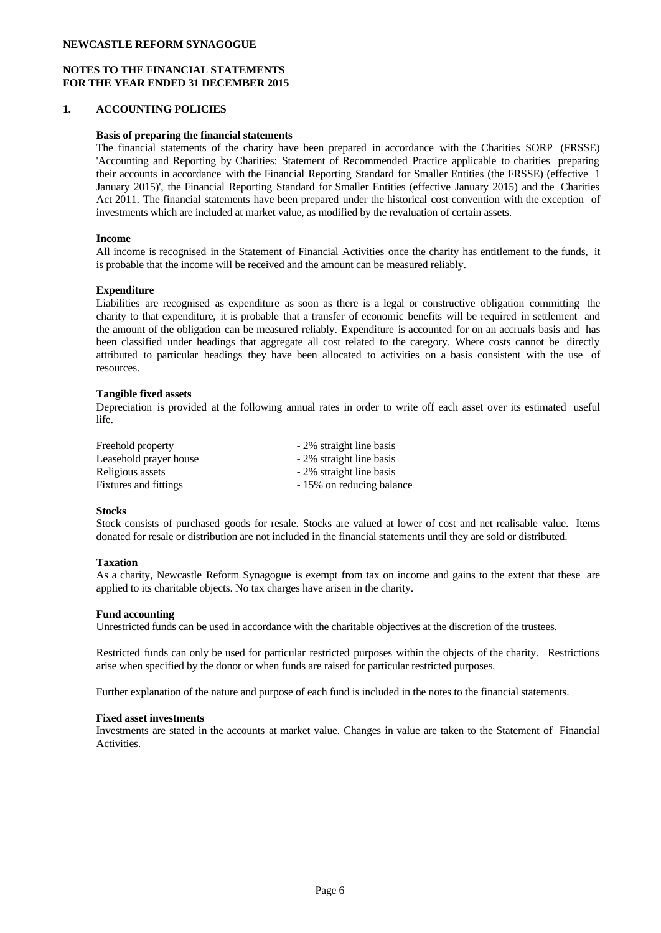# **NOTES TO THE FINANCIAL STATEMENTS FOR THE YEAR ENDED 31 DECEMBER 2015**

## **1. ACCOUNTING POLICIES**

## **Basis of preparing the financial statements**

The financial statements of the charity have been prepared in accordance with the Charities SORP (FRSSE) 'Accounting and Reporting by Charities: Statement of Recommended Practice applicable to charities preparing their accounts in accordance with the Financial Reporting Standard for Smaller Entities (the FRSSE) (effective 1 January 2015)', the Financial Reporting Standard for Smaller Entities (effective January 2015) and the Charities Act 2011. The financial statements have been prepared under the historical cost convention with the exception of investments which are included at market value, as modified by the revaluation of certain assets.

### **Income**

All income is recognised in the Statement of Financial Activities once the charity has entitlement to the funds, it is probable that the income will be received and the amount can be measured reliably.

## **Expenditure**

Liabilities are recognised as expenditure as soon as there is a legal or constructive obligation committing the charity to that expenditure, it is probable that a transfer of economic benefits will be required in settlement and the amount of the obligation can be measured reliably. Expenditure is accounted for on an accruals basis and has been classified under headings that aggregate all cost related to the category. Where costs cannot be directly attributed to particular headings they have been allocated to activities on a basis consistent with the use of resources.

### **Tangible fixed assets**

Depreciation is provided at the following annual rates in order to write off each asset over its estimated useful life.

| Freehold property            | - 2% straight line basis  |
|------------------------------|---------------------------|
| Leasehold prayer house       | - 2% straight line basis  |
| Religious assets             | - 2% straight line basis  |
| <b>Fixtures and fittings</b> | - 15% on reducing balance |

### **Stocks**

Stock consists of purchased goods for resale. Stocks are valued at lower of cost and net realisable value. Items donated for resale or distribution are not included in the financial statements until they are sold or distributed.

#### **Taxation**

As a charity, Newcastle Reform Synagogue is exempt from tax on income and gains to the extent that these are applied to its charitable objects. No tax charges have arisen in the charity.

#### **Fund accounting**

Unrestricted funds can be used in accordance with the charitable objectives at the discretion of the trustees.

Restricted funds can only be used for particular restricted purposes within the objects of the charity. Restrictions arise when specified by the donor or when funds are raised for particular restricted purposes.

Further explanation of the nature and purpose of each fund is included in the notes to the financial statements.

#### **Fixed asset investments**

Investments are stated in the accounts at market value. Changes in value are taken to the Statement of Financial Activities.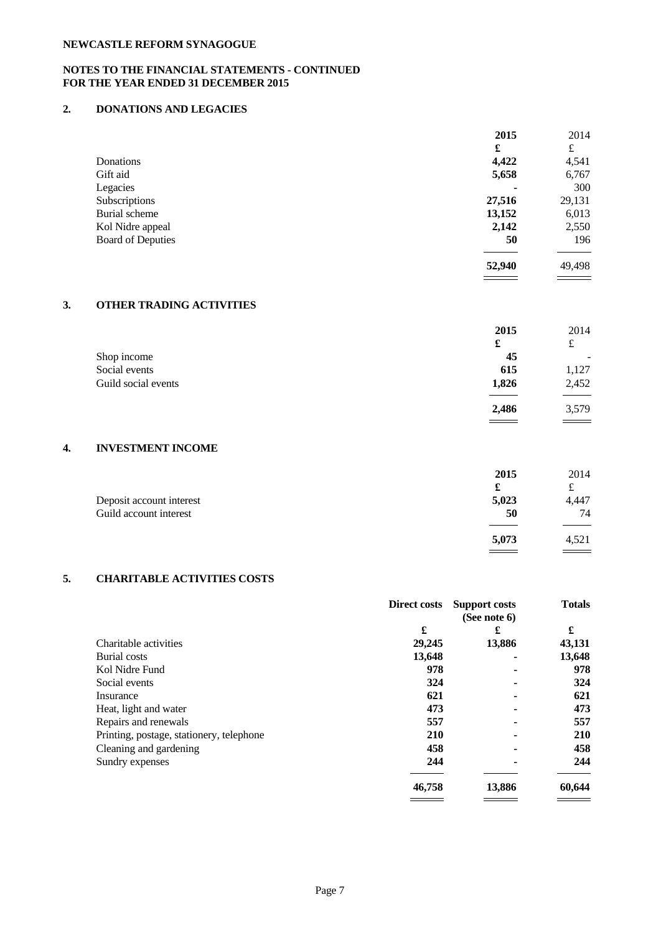# **NOTES TO THE FINANCIAL STATEMENTS - CONTINUED FOR THE YEAR ENDED 31 DECEMBER 2015**

# **2. DONATIONS AND LEGACIES**

|                          | 2015                     | 2014               |
|--------------------------|--------------------------|--------------------|
|                          | £                        | £                  |
| Donations                | 4,422                    | 4,541              |
| Gift aid                 | 5,658                    | 6,767              |
| Legacies                 | $\overline{\phantom{a}}$ | 300                |
| Subscriptions            | 27,516                   | 29,131             |
| Burial scheme            | 13,152                   | 6,013              |
| Kol Nidre appeal         | 2,142                    | 2,550              |
| <b>Board of Deputies</b> | 50                       | 196                |
|                          | 52,940                   | 49,498             |
|                          | _______                  | <u> Tanzania (</u> |

# **3. OTHER TRADING ACTIVITIES**

|                     | 2015  | 2014                     |  |
|---------------------|-------|--------------------------|--|
|                     | £     | £                        |  |
| Shop income         | 45    | $\overline{\phantom{a}}$ |  |
| Social events       | 615   | 1,127                    |  |
| Guild social events | 1,826 | 2,452                    |  |
|                     |       |                          |  |
|                     | 2,486 | 3,579                    |  |

 $\qquad \qquad =$ 

# **4. INVESTMENT INCOME**

|                          | 2015              | 2014          |  |
|--------------------------|-------------------|---------------|--|
|                          | £                 | ىل            |  |
| Deposit account interest | 5,023             | 4,447         |  |
| Guild account interest   | 50                | 74            |  |
|                          |                   |               |  |
|                          | 5,073             | 4,521         |  |
|                          | $\equiv$ $\equiv$ | $\sim$ $\sim$ |  |

# **5. CHARITABLE ACTIVITIES COSTS**

|                                          | Direct costs | <b>Support costs</b><br>(See note 6) | <b>Totals</b> |  |
|------------------------------------------|--------------|--------------------------------------|---------------|--|
|                                          | £            | £                                    | £             |  |
| Charitable activities                    | 29,245       | 13,886                               | 43,131        |  |
| Burial costs                             | 13,648       |                                      | 13,648        |  |
| Kol Nidre Fund                           | 978          | ۰                                    | 978           |  |
| Social events                            | 324          | -                                    | 324           |  |
| Insurance                                | 621          | ۰                                    | 621           |  |
| Heat, light and water                    | 473          |                                      | 473           |  |
| Repairs and renewals                     | 557          | ۰                                    | 557           |  |
| Printing, postage, stationery, telephone | <b>210</b>   |                                      | <b>210</b>    |  |
| Cleaning and gardening                   | 458          |                                      | 458           |  |
| Sundry expenses                          | 244          |                                      | 244           |  |
|                                          | 46,758       | 13,886                               | 60,644        |  |
|                                          |              |                                      |               |  |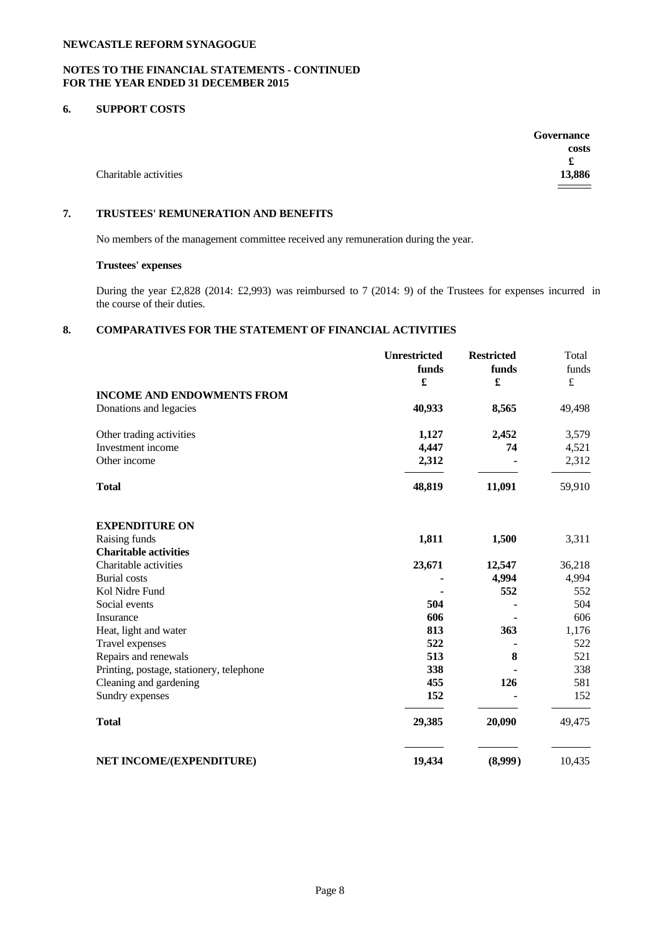# **NOTES TO THE FINANCIAL STATEMENTS - CONTINUED FOR THE YEAR ENDED 31 DECEMBER 2015**

# **6. SUPPORT COSTS**

|                       | Governance        |
|-----------------------|-------------------|
|                       | costs             |
|                       | £                 |
| Charitable activities | 13,886            |
|                       | $\qquad \qquad =$ |

# **7. TRUSTEES' REMUNERATION AND BENEFITS**

No members of the management committee received any remuneration during the year.

## **Trustees' expenses**

During the year £2,828 (2014: £2,993) was reimbursed to 7 (2014: 9) of the Trustees for expenses incurred in the course of their duties.

# **8. COMPARATIVES FOR THE STATEMENT OF FINANCIAL ACTIVITIES**

|                                          | <b>Unrestricted</b>  | <b>Restricted</b> | Total     |  |
|------------------------------------------|----------------------|-------------------|-----------|--|
|                                          | funds                | funds             | funds     |  |
|                                          | $\pmb{\mathfrak{L}}$ | £                 | $\pounds$ |  |
| <b>INCOME AND ENDOWMENTS FROM</b>        |                      |                   |           |  |
| Donations and legacies                   | 40,933               | 8,565             | 49,498    |  |
| Other trading activities                 | 1,127                | 2,452             | 3,579     |  |
| Investment income                        | 4,447                | 74                | 4,521     |  |
| Other income                             | 2,312                |                   | 2,312     |  |
| <b>Total</b>                             | 48,819               | 11,091            | 59,910    |  |
| <b>EXPENDITURE ON</b>                    |                      |                   |           |  |
| Raising funds                            | 1,811                | 1,500             | 3,311     |  |
| <b>Charitable activities</b>             |                      |                   |           |  |
| Charitable activities                    | 23,671               | 12,547            | 36,218    |  |
| <b>Burial</b> costs                      |                      | 4,994             | 4,994     |  |
| Kol Nidre Fund                           |                      | 552               | 552       |  |
| Social events                            | 504                  |                   | 504       |  |
| Insurance                                | 606                  |                   | 606       |  |
| Heat, light and water                    | 813                  | 363               | 1,176     |  |
| Travel expenses                          | 522                  |                   | 522       |  |
| Repairs and renewals                     | 513                  | 8                 | 521       |  |
| Printing, postage, stationery, telephone | 338                  |                   | 338       |  |
| Cleaning and gardening                   | 455                  | 126               | 581       |  |
| Sundry expenses                          | 152                  |                   | 152       |  |
| <b>Total</b>                             | 29,385               | 20,090            | 49,475    |  |
| NET INCOME/(EXPENDITURE)                 | 19,434               | (8,999)           | 10,435    |  |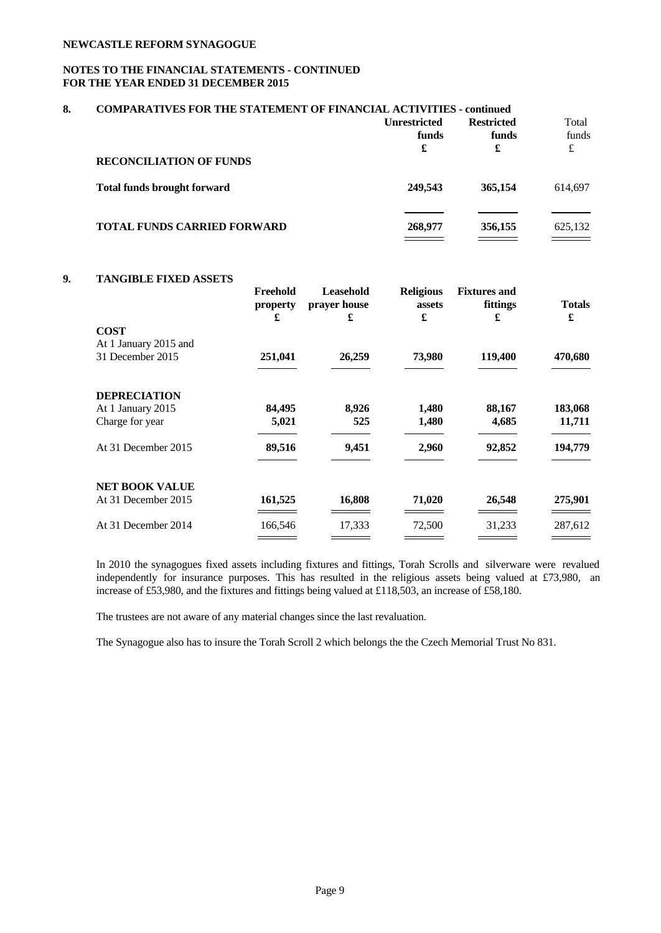# **NOTES TO THE FINANCIAL STATEMENTS - CONTINUED FOR THE YEAR ENDED 31 DECEMBER 2015**

| 8. | <b>COMPARATIVES FOR THE STATEMENT OF FINANCIAL ACTIVITIES - continued</b> |                     |                   |         |  |
|----|---------------------------------------------------------------------------|---------------------|-------------------|---------|--|
|    |                                                                           | <b>Unrestricted</b> | <b>Restricted</b> | Total   |  |
|    |                                                                           | funds               | funds             | funds   |  |
|    |                                                                           | £                   | £                 | £       |  |
|    | <b>RECONCILIATION OF FUNDS</b>                                            |                     |                   |         |  |
|    | <b>Total funds brought forward</b>                                        | 249.543             | 365,154           | 614,697 |  |
|    | <b>TOTAL FUNDS CARRIED FORWARD</b>                                        | 268,977             | 356,155           | 625,132 |  |
|    |                                                                           |                     |                   |         |  |

## **9. TANGIBLE FIXED ASSETS**

|                                           | Freehold<br>property<br>£ | Leasehold<br>prayer house<br>£ | <b>Religious</b><br>assets<br>£ | <b>Fixtures and</b><br>fittings<br>£ | <b>Totals</b><br>£ |
|-------------------------------------------|---------------------------|--------------------------------|---------------------------------|--------------------------------------|--------------------|
| <b>COST</b>                               |                           |                                |                                 |                                      |                    |
| At 1 January 2015 and<br>31 December 2015 | 251,041                   | 26,259                         | 73,980                          | 119,400                              | 470,680            |
| <b>DEPRECIATION</b>                       |                           |                                |                                 |                                      |                    |
| At 1 January 2015                         | 84,495                    | 8,926                          | 1,480                           | 88,167                               | 183,068            |
| Charge for year                           | 5,021                     | 525                            | 1,480                           | 4,685                                | 11,711             |
| At 31 December 2015                       | 89,516                    | 9,451                          | 2,960                           | 92,852                               | 194,779            |
| <b>NET BOOK VALUE</b>                     |                           |                                |                                 |                                      |                    |
| At 31 December 2015                       | 161,525                   | 16,808                         | 71,020                          | 26,548                               | 275,901            |
| At 31 December 2014                       | 166,546                   | 17,333                         | 72,500                          | 31,233                               | 287,612            |
|                                           |                           |                                |                                 |                                      |                    |

In 2010 the synagogues fixed assets including fixtures and fittings, Torah Scrolls and silverware were revalued independently for insurance purposes. This has resulted in the religious assets being valued at £73,980, an increase of £53,980, and the fixtures and fittings being valued at £118,503, an increase of £58,180.

The trustees are not aware of any material changes since the last revaluation.

The Synagogue also has to insure the Torah Scroll 2 which belongs the the Czech Memorial Trust No 831.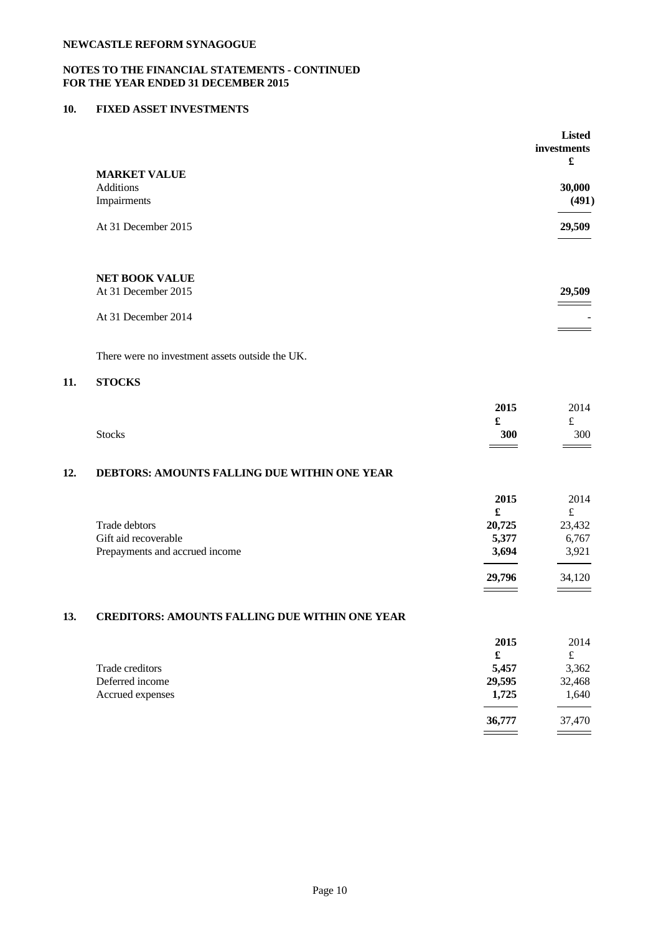# **NOTES TO THE FINANCIAL STATEMENTS - CONTINUED FOR THE YEAR ENDED 31 DECEMBER 2015**

# **10. FIXED ASSET INVESTMENTS**

|                     | <b>Listed</b> |
|---------------------|---------------|
|                     | investments   |
|                     | £             |
| <b>MARKET VALUE</b> |               |
| Additions           | 30,000        |
| Impairments         | (491)         |
|                     |               |
| At 31 December 2015 | 29,509        |
|                     |               |
|                     |               |
|                     |               |
| NET BOOK VALUE      |               |
| At 31 December 2015 | 29,509        |
|                     |               |
| At 31 December 2014 |               |
|                     |               |

There were no investment assets outside the UK.

## **11. STOCKS**

|               | 2015<br>£<br>ഄ                             | 2014<br>$+$<br>ىم |
|---------------|--------------------------------------------|-------------------|
| <b>Stocks</b> | 300<br>and the contract of the contract of | 300<br>$=$        |

# **12. DEBTORS: AMOUNTS FALLING DUE WITHIN ONE YEAR**

|                                | 2015   | 2014   |  |
|--------------------------------|--------|--------|--|
|                                | £      | £      |  |
| Trade debtors                  | 20,725 | 23,432 |  |
| Gift aid recoverable           | 5,377  | 6,767  |  |
| Prepayments and accrued income | 3,694  | 3,921  |  |
|                                |        |        |  |
|                                | 29,796 | 34,120 |  |
|                                |        |        |  |

# **13. CREDITORS: AMOUNTS FALLING DUE WITHIN ONE YEAR**

|                  | 2015   | 2014   |  |
|------------------|--------|--------|--|
|                  | £      | £      |  |
| Trade creditors  | 5,457  | 3,362  |  |
| Deferred income  | 29,595 | 32,468 |  |
| Accrued expenses | 1,725  | 1,640  |  |
|                  |        |        |  |
|                  | 36,777 | 37,470 |  |
|                  | _____  |        |  |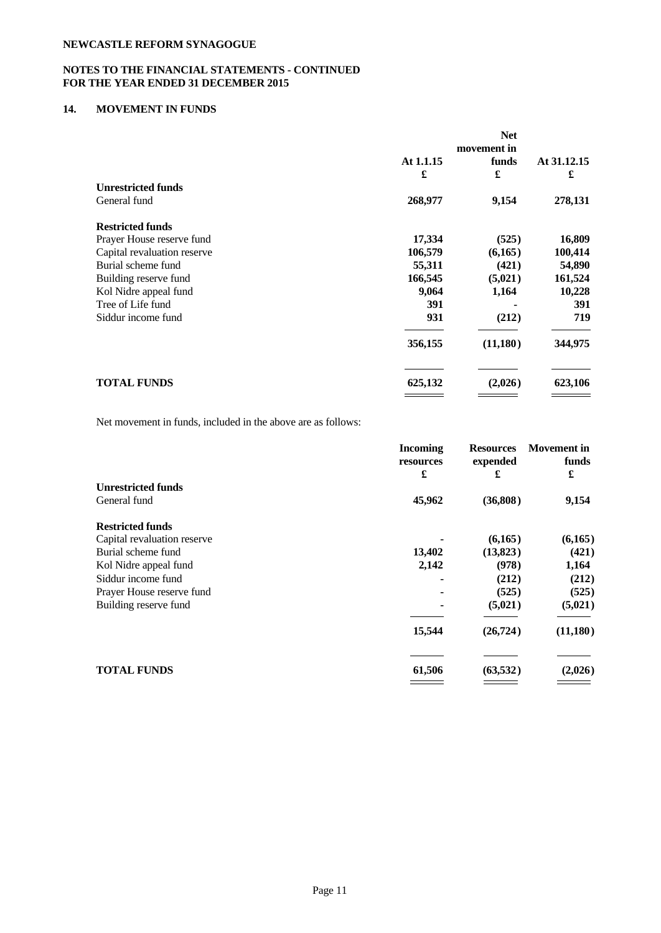# **NOTES TO THE FINANCIAL STATEMENTS - CONTINUED FOR THE YEAR ENDED 31 DECEMBER 2015**

# **14. MOVEMENT IN FUNDS**

|                             |           | movement in |             |
|-----------------------------|-----------|-------------|-------------|
|                             | At 1.1.15 | funds       | At 31.12.15 |
|                             | £         | £           | £           |
| <b>Unrestricted funds</b>   |           |             |             |
| General fund                | 268,977   | 9,154       | 278,131     |
| <b>Restricted funds</b>     |           |             |             |
| Prayer House reserve fund   | 17,334    | (525)       | 16,809      |
| Capital revaluation reserve | 106,579   | (6,165)     | 100,414     |
| Burial scheme fund          | 55,311    | (421)       | 54,890      |
| Building reserve fund       | 166,545   | (5,021)     | 161,524     |
| Kol Nidre appeal fund       | 9,064     | 1,164       | 10,228      |
| Tree of Life fund           | 391       |             | 391         |
| Siddur income fund          | 931       | (212)       | 719         |
|                             | 356,155   | (11,180)    | 344,975     |
| <b>TOTAL FUNDS</b>          | 625,132   | (2,026)     | 623,106     |

Net movement in funds, included in the above are as follows:

|                             | <b>Incoming</b><br>resources<br>£ | <b>Resources</b><br>expended | <b>Movement</b> in<br>funds<br>£ |  |
|-----------------------------|-----------------------------------|------------------------------|----------------------------------|--|
|                             |                                   | £                            |                                  |  |
| <b>Unrestricted funds</b>   |                                   |                              |                                  |  |
| General fund                | 45,962                            | (36,808)                     | 9,154                            |  |
| <b>Restricted funds</b>     |                                   |                              |                                  |  |
| Capital revaluation reserve |                                   | (6,165)                      | (6,165)                          |  |
| Burial scheme fund          | 13,402                            | (13,823)                     | (421)                            |  |
| Kol Nidre appeal fund       | 2,142                             | (978)                        | 1,164                            |  |
| Siddur income fund          |                                   | (212)                        | (212)                            |  |
| Prayer House reserve fund   |                                   | (525)                        | (525)                            |  |
| Building reserve fund       |                                   | (5,021)                      | (5,021)                          |  |
|                             | 15,544                            | (26, 724)                    | (11,180)                         |  |
|                             |                                   |                              |                                  |  |
| <b>TOTAL FUNDS</b>          | 61,506                            | (63, 532)                    | (2,026)                          |  |
|                             |                                   |                              |                                  |  |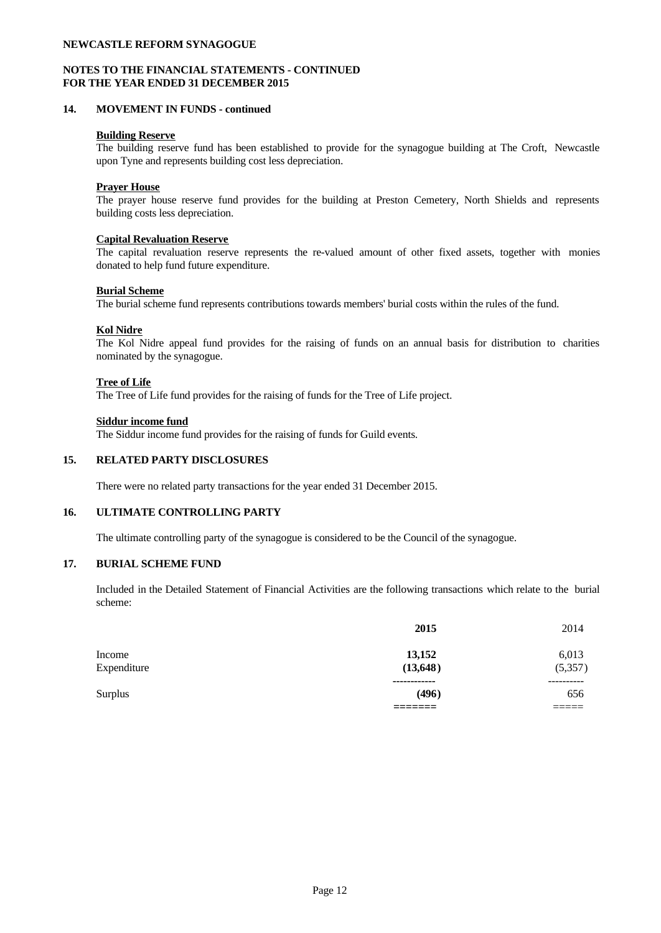## **NOTES TO THE FINANCIAL STATEMENTS - CONTINUED FOR THE YEAR ENDED 31 DECEMBER 2015**

### **14. MOVEMENT IN FUNDS - continued**

### **Building Reserve**

The building reserve fund has been established to provide for the synagogue building at The Croft, Newcastle upon Tyne and represents building cost less depreciation.

## **Prayer House**

The prayer house reserve fund provides for the building at Preston Cemetery, North Shields and represents building costs less depreciation.

### **Capital Revaluation Reserve**

The capital revaluation reserve represents the re-valued amount of other fixed assets, together with monies donated to help fund future expenditure.

### **Burial Scheme**

The burial scheme fund represents contributions towards members' burial costs within the rules of the fund.

### **Kol Nidre**

The Kol Nidre appeal fund provides for the raising of funds on an annual basis for distribution to charities nominated by the synagogue.

### **Tree of Life**

The Tree of Life fund provides for the raising of funds for the Tree of Life project.

### **Siddur income fund**

The Siddur income fund provides for the raising of funds for Guild events.

### **15. RELATED PARTY DISCLOSURES**

There were no related party transactions for the year ended 31 December 2015.

## **16. ULTIMATE CONTROLLING PARTY**

The ultimate controlling party of the synagogue is considered to be the Council of the synagogue.

### **17. BURIAL SCHEME FUND**

Included in the Detailed Statement of Financial Activities are the following transactions which relate to the burial scheme:

|                | 2015         | 2014           |  |
|----------------|--------------|----------------|--|
| Income         | 13,152       | 6,013          |  |
| Expenditure    | (13, 648)    | (5,357)        |  |
|                | ------------ | ----------     |  |
| <b>Surplus</b> | (496)        | 656            |  |
|                |              | _____<br>_____ |  |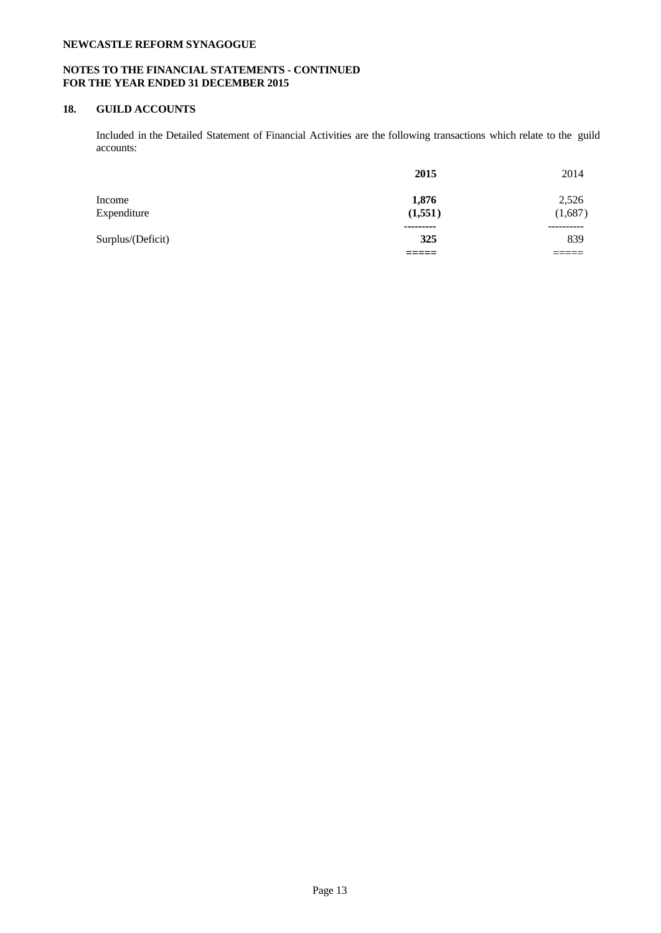# **NOTES TO THE FINANCIAL STATEMENTS - CONTINUED FOR THE YEAR ENDED 31 DECEMBER 2015**

# **18. GUILD ACCOUNTS**

Included in the Detailed Statement of Financial Activities are the following transactions which relate to the guild accounts:

|                   | 2015      | 2014       |  |
|-------------------|-----------|------------|--|
| Income            | 1,876     | 2,526      |  |
| Expenditure       | (1,551)   | (1,687)    |  |
|                   | --------- | ---------- |  |
| Surplus/(Deficit) | 325       | 839        |  |
|                   |           | _____      |  |
|                   |           |            |  |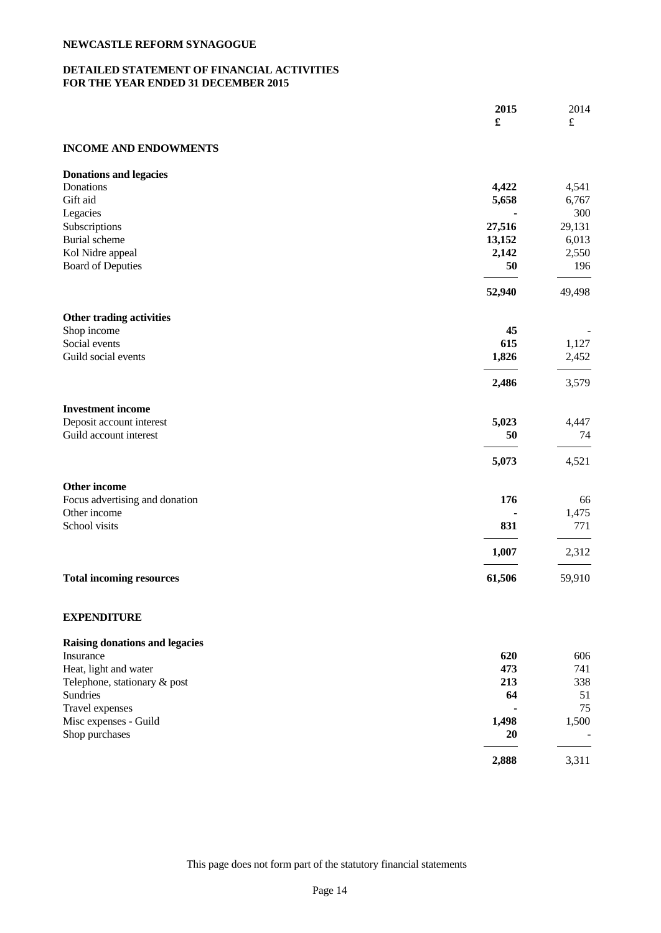# **DETAILED STATEMENT OF FINANCIAL ACTIVITIES FOR THE YEAR ENDED 31 DECEMBER 2015**

|                                 | 2015<br>$\pmb{\mathfrak{L}}$ | 2014<br>$\pounds$ |
|---------------------------------|------------------------------|-------------------|
| <b>INCOME AND ENDOWMENTS</b>    |                              |                   |
| <b>Donations and legacies</b>   |                              |                   |
| Donations                       | 4,422                        | 4,541             |
| Gift aid                        | 5,658                        | 6,767             |
| Legacies                        |                              | 300               |
| Subscriptions                   | 27,516                       | 29,131            |
| Burial scheme                   | 13,152                       | 6,013             |
| Kol Nidre appeal                | 2,142                        | 2,550             |
| <b>Board of Deputies</b>        | 50                           | 196               |
|                                 | 52,940                       | 49,498            |
| Other trading activities        |                              |                   |
| Shop income                     | 45                           |                   |
| Social events                   | 615                          | 1,127             |
| Guild social events             | 1,826                        | 2,452             |
|                                 | 2,486                        | 3,579             |
| <b>Investment income</b>        |                              |                   |
| Deposit account interest        | 5,023                        | 4,447             |
| Guild account interest          | 50                           | 74                |
|                                 | 5,073                        | 4,521             |
| Other income                    |                              |                   |
| Focus advertising and donation  | 176                          | 66                |
| Other income                    |                              | 1,475             |
| School visits                   | 831                          | 771               |
|                                 | 1,007                        | 2,312             |
| <b>Total incoming resources</b> | 61,506                       | 59,910            |

# **EXPENDITURE**

| 620                      | 606                      |  |
|--------------------------|--------------------------|--|
| 473                      | 741                      |  |
| 213                      | 338                      |  |
| 64                       | 51                       |  |
| $\overline{\phantom{a}}$ | 75                       |  |
| 1,498                    | 1,500                    |  |
| <b>20</b>                | $\overline{\phantom{a}}$ |  |
| 2,888                    | 3,311                    |  |
|                          |                          |  |

This page does not form part of the statutory financial statements